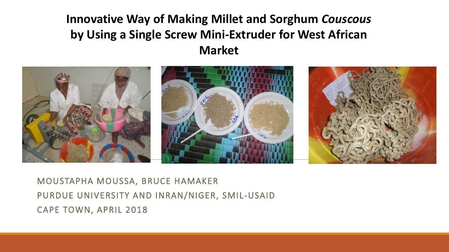# **Innovative Way of Making Millet and Sorghum** *Couscous*  **by Using a Single Screw Mini-Extruder for West African Market**



MOUSTAPHA MOUSSA, BRUCE HAMAKER PURDUE UNIVERSITY AND INRAN/NIGER, SMIL-USAID CAPE TOWN, APRIL 2018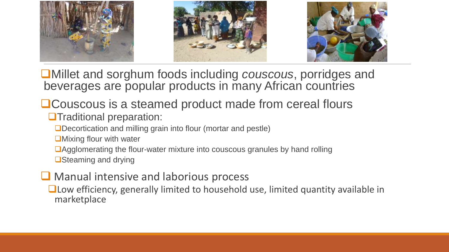

❑Millet and sorghum foods including *couscous*, porridges and beverages are popular products in many African countries

- ❑Couscous is a steamed product made from cereal flours ❑Traditional preparation:
	- ❑Decortication and milling grain into flour (mortar and pestle)
	- ■Mixing flour with water
	- ❑Agglomerating the flour-water mixture into couscous granules by hand rolling
	- ❑Steaming and drying
- Manual intensive and laborious process
	- ❑Low efficiency, generally limited to household use, limited quantity available in marketplace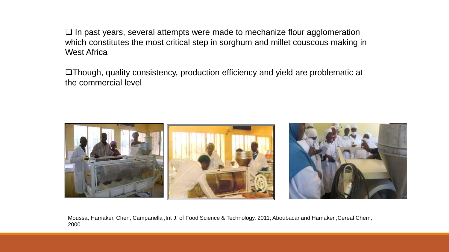❑ In past years, several attempts were made to mechanize flour agglomeration which constitutes the most critical step in sorghum and millet couscous making in West Africa

❑Though, quality consistency, production efficiency and yield are problematic at the commercial level



Moussa, Hamaker, Chen, Campanella ,Int J. of Food Science & Technology, 2011; Aboubacar and Hamaker ,Cereal Chem, 2000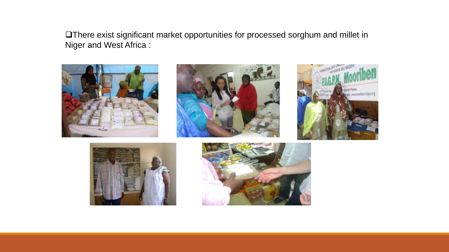❑There exist significant market opportunities for processed sorghum and millet in Niger and West Africa :









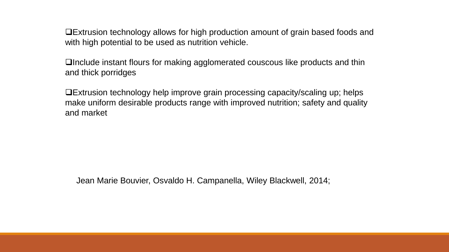❑Extrusion technology allows for high production amount of grain based foods and with high potential to be used as nutrition vehicle.

❑Include instant flours for making agglomerated couscous like products and thin and thick porridges

❑Extrusion technology help improve grain processing capacity/scaling up; helps make uniform desirable products range with improved nutrition; safety and quality and market

Jean Marie Bouvier, Osvaldo H. Campanella, Wiley Blackwell, 2014;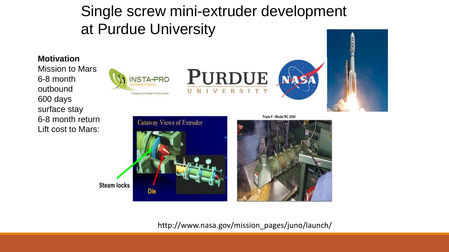Single screw mini-extruder development at Purdue University

## **Motivation** Mission to Mars **PURDUE** NSTA-PRO 6-8 month outbound UNIVERSITY Processing Technologies for Food and Fried 600 days surface stay 6-8 month return Triple F - Model RC 2000 **Cutaway Views of Extruder** Lift cost to Mars:

**Steam locks** 

Die

http://www.nasa.gov/mission\_pages/juno/launch/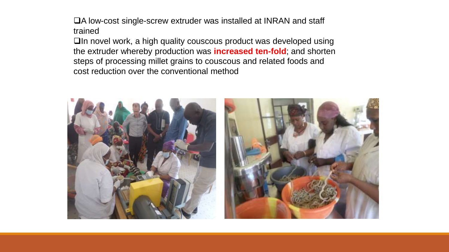❑A low-cost single-screw extruder was installed at INRAN and staff trained

❑In novel work, a high quality couscous product was developed using the extruder whereby production was **increased ten-fold**; and shorten steps of processing millet grains to couscous and related foods and cost reduction over the conventional method

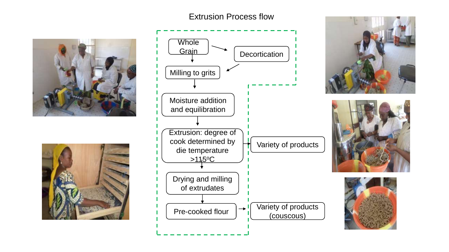## Extrusion Process flow











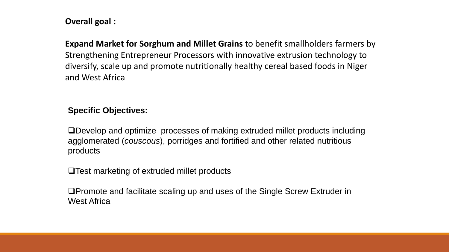## **Overall goal :**

**Expand Market for Sorghum and Millet Grains** to benefit smallholders farmers by Strengthening Entrepreneur Processors with innovative extrusion technology to diversify, scale up and promote nutritionally healthy cereal based foods in Niger and West Africa

# **Specific Objectives:**

❑Develop and optimize processes of making extruded millet products including agglomerated (*couscous*), porridges and fortified and other related nutritious products

❑Test marketing of extruded millet products

❑Promote and facilitate scaling up and uses of the Single Screw Extruder in West Africa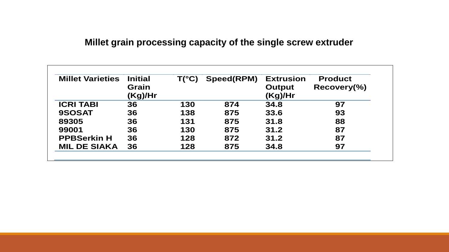# **Millet grain processing capacity of the single screw extruder**

| <b>Millet Varieties</b> | <b>Initial</b><br>Grain<br>(Kg)/Hr | $T(^{\circ}C)$ | Speed(RPM) | <b>Extrusion</b><br><b>Output</b><br>(Kg)/Hr | <b>Product</b><br>Recovery( <sub>0</sub> ) |
|-------------------------|------------------------------------|----------------|------------|----------------------------------------------|--------------------------------------------|
| <b>ICRI TABI</b>        | 36                                 | 130            | 874        | 34.8                                         | 97                                         |
| 9SOSAT                  | 36                                 | 138            | 875        | 33.6                                         | 93                                         |
| 89305                   | 36                                 | 131            | 875        | 31.8                                         | 88                                         |
| 99001                   | 36                                 | 130            | 875        | 31.2                                         | 87                                         |
| <b>PPBSerkin H</b>      | 36                                 | 128            | 872        | 31.2                                         | 87                                         |
| <b>MIL DE SIAKA</b>     | 36                                 | 128            | 875        | 34.8                                         | 97                                         |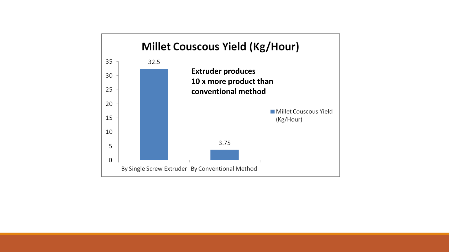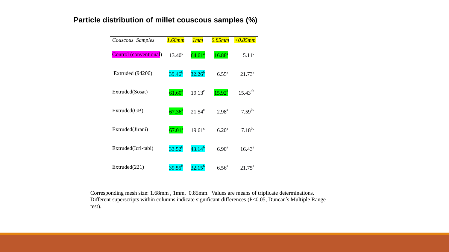#### **Particle distribution of millet couscous samples (%)**

| Couscous Samples       | <u>1.68mm</u>   | lmm                | $0.85$ mm         | $<$ 0.85 $mm$   |
|------------------------|-----------------|--------------------|-------------------|-----------------|
| Control (conventional) | $13.40^{\circ}$ | 64.61 <sup>a</sup> | $16.88^{a}$       | $5.11^{\circ}$  |
| Extruded (94206)       | $39.46^{b}$     | $32.26^{b}$        | $6.55^{\text{a}}$ | $21.73^{\rm a}$ |
| Extruded(Sosat)        | $61.60^{a}$     | $19.13^{\circ}$    | $15.92^{a}$       | $15.43^{ab}$    |
| Extruded(GB)           | $67.36^{a}$     | $21.54^c$          | 2.98 <sup>a</sup> | $7.59^{bc}$     |
| Extruded(Jirani)       | $67.01^{\rm a}$ | $19.61^{\circ}$    | $6.20^{\rm a}$    | $7.18^{bc}$     |
| Extruded(Icri-tabi)    | $33.52^{b}$     | $43.14^{b}$        | $6.90^{\rm a}$    | $16.43^{\circ}$ |
| Extruded(221)          | $39.55^{b}$     | $32.15^{b}$        | $6.56^{\circ}$    | $21.75^{\rm a}$ |

Corresponding mesh size: 1.68mm , 1mm, 0.85mm. Values are means of triplicate determinations. Different superscripts within columns indicate significant differences (P<0.05, Duncan's Multiple Range test).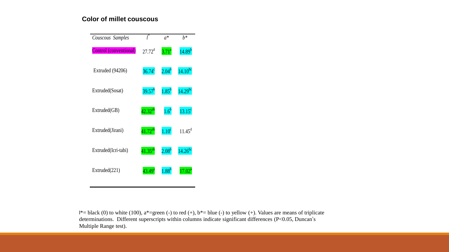#### **Color of millet couscous**



 $l^*=$  black (0) to white (100), a\*=green (-) to red (+), b\*= blue (-) to yellow (+). Values are means of triplicate determinations. Different superscripts within columns indicate significant differences (P<0.05, Duncan's Multiple Range test).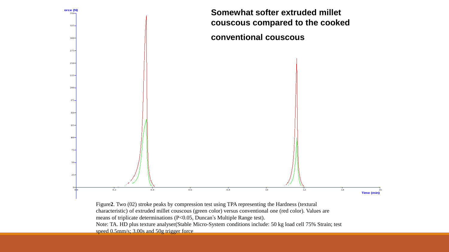

Figure**2**. Two (02) stroke peaks by compression test using TPA representing the Hardness (textural characteristic) of extruded millet couscous (green color) versus conventional one (red color). Values are means of triplicate determinations (P<0.05, Duncan's Multiple Range test). Note: TA. HD plus texture analyser(Stable Micro-System conditions include: 50 kg load cell 75% Strain; test

speed 0.5mm/s; 3.00s and 50g trigger force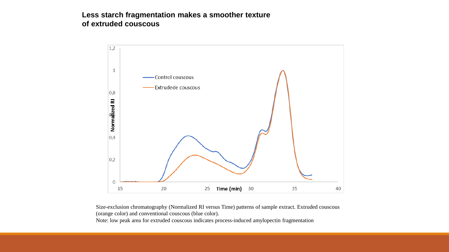#### **Less starch fragmentation makes a smoother texture of extruded couscous**



Size-exclusion chromatography (Normalized RI versus Time) patterns of sample extract. Extruded couscous (orange color) and conventional couscous (blue color).

Note: low peak area for extruded couscous indicates process-induced amylopectin fragmentation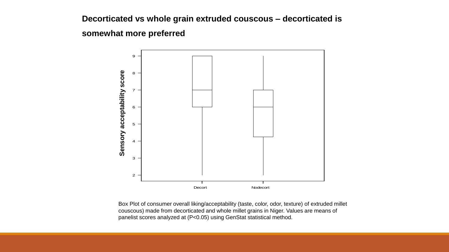## **Decorticated vs whole grain extruded couscous – decorticated is**

**somewhat more preferred**



Box Plot of consumer overall liking/acceptability (taste, color, odor, texture) of extruded millet couscous) made from decorticated and whole millet grains in Niger. Values are means of panelist scores analyzed at (P<0.05) using GenStat statistical method.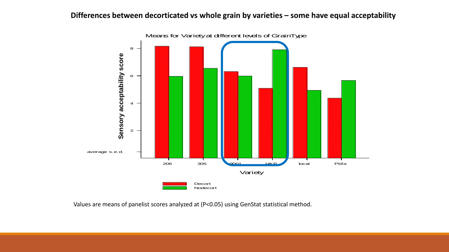#### **Differences between decorticated vs whole grain by varieties – some have equal acceptability**



Values are means of panelist scores analyzed at (P<0.05) using GenStat statistical method.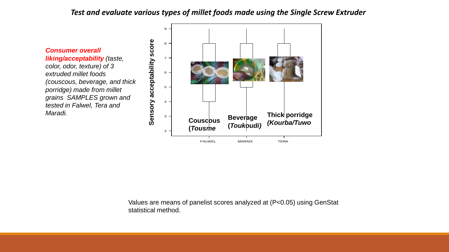#### *Test and evaluate various types of millet foods made using the Single Screw Extruder*

*Consumer overall liking/acceptability (taste, color, odor, texture) of 3 extruded millet foods (couscous, beverage, and thick porridge) made from millet grains SAMPLES grown and tested in Falwel, Tera and Maradi.* 



Values are means of panelist scores analyzed at (P<0.05) using GenStat statistical method.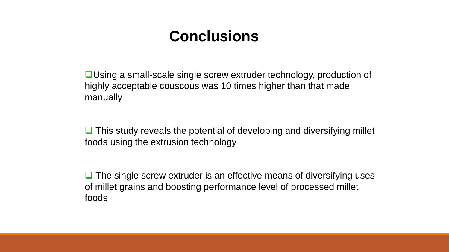# **Conclusions**

❑Using a small-scale single screw extruder technology, production of highly acceptable couscous was 10 times higher than that made manually

❑ This study reveals the potential of developing and diversifying millet foods using the extrusion technology

■ The single screw extruder is an effective means of diversifying uses of millet grains and boosting performance level of processed millet foods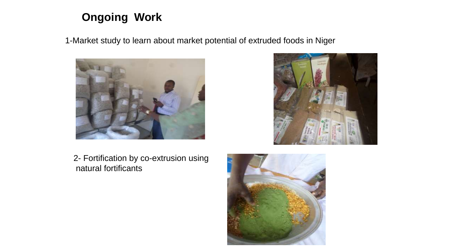# **Ongoing Work**

1-Market study to learn about market potential of extruded foods in Niger





2- Fortification by co-extrusion using natural fortificants